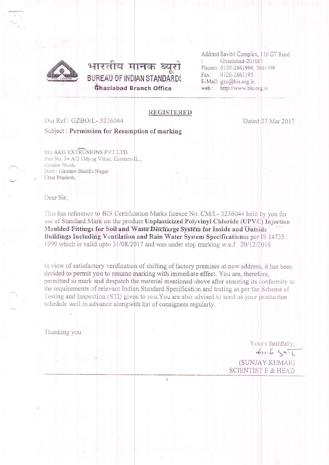

भारतीय मानक ब्यूरो **BUREAU OF INDIAN STANDARDS Ghaziabad Branch Office** 

Address Savitri Complex, 116 GT Road Ghaziabad-201001 Phones: 0120-2861996, 2861498 0120-2862195 Fax: E-Mail: gzo@bis.org.in web: http://www.bis.org.in

## **REGISTERED**

Our Ref: GZBO/L-3236044

Dated: 27 Mar 2017

Subject: Permission for Resumption of marking

M/s AKG EXTRUSIONS PVT LTD Plot No. 34 A/2 Udyog Vihar, Ecotech-II,, Greater Noida Distt : Gautam Buddh Nagar Uttar Pradesh,

Dear Sir,

This has reference to BIS Certification Marks licence No. CM/L-3236044 held by you for use of Standard Mark on the product Unplasticized Polyvinyl Chloride (UPVC) Injection Meulded Fittings for Soil and Waste Discharge System for Inside and Outside Buildings Including Ventilation and Rain Water System Specificationas per IS 14735: 1999 which is valid upto 31/08/2017 and was under stop marking w.e.f 20/12/2016

In view of satisfactory verification of shifting of factory premises at new address, it has been decided to permit you to resume marking with immediate effect. You are, therefore, permitted to mark and despatch the material mentioned above after ensuring its conformity to the requirements of relevant Indian Standard Specification and testing as per the Scheme of Testing and Inspection (STI) given to you. You are also advised to send us your production schedule well in advance alongwith list of consignees regularly.

Thanking you

Your's faithfully, forth gril (SUNJAY KUMAR) SCIENTIST E & HEAD